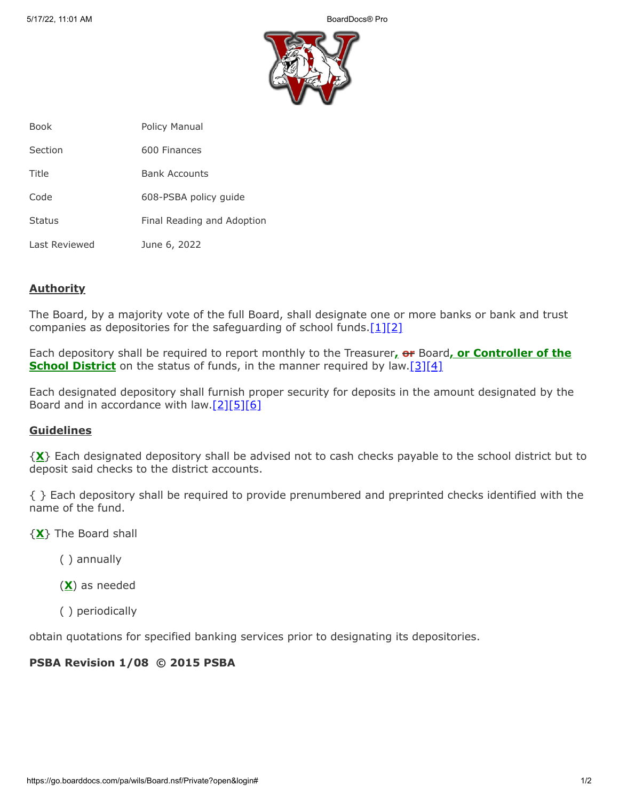

| <b>Book</b>   | <b>Policy Manual</b>       |
|---------------|----------------------------|
| Section       | 600 Finances               |
| Title         | <b>Bank Accounts</b>       |
| Code          | 608-PSBA policy guide      |
| <b>Status</b> | Final Reading and Adoption |
| Last Reviewed | June 6, 2022               |

## **Authority**

The Board, by a majority vote of the full Board, shall designate one or more banks or bank and trust companies as depositories for the safeguarding of school funds.  $[1][2]$  $[1][2]$ 

Each depository shall be required to report monthly to the Treasurer**, or** Board**, or Controller of the School District** on the status of funds, in the manner required by law.<sup>[\[3\]](http://www.legis.state.pa.us/cfdocs/legis/LI/uconsCheck.cfm?txtType=HTM&yr=1949&sessInd=0&smthLwInd=0&act=14&chpt=4&sctn=40&subsctn=0)[\[4\]](http://www.legis.state.pa.us/cfdocs/legis/LI/uconsCheck.cfm?txtType=HTM&yr=1949&sessInd=0&smthLwInd=0&act=14&chpt=6&sctn=24&subsctn=0)</sup>

Each designated depository shall furnish proper security for deposits in the amount designated by the Board and in accordance with  $\frac{2[5][6]}{2}$  $\frac{2[5][6]}{2}$  $\frac{2[5][6]}{2}$  $\frac{2[5][6]}{2}$ 

## **Guidelines**

{**X**} Each designated depository shall be advised not to cash checks payable to the school district but to deposit said checks to the district accounts.

{ } Each depository shall be required to provide prenumbered and preprinted checks identified with the name of the fund.

- {**X**} The Board shall
	- ( ) annually
	- (**X**) as needed
	- ( ) periodically

obtain quotations for specified banking services prior to designating its depositories.

## **PSBA Revision 1/08 © 2015 PSBA**